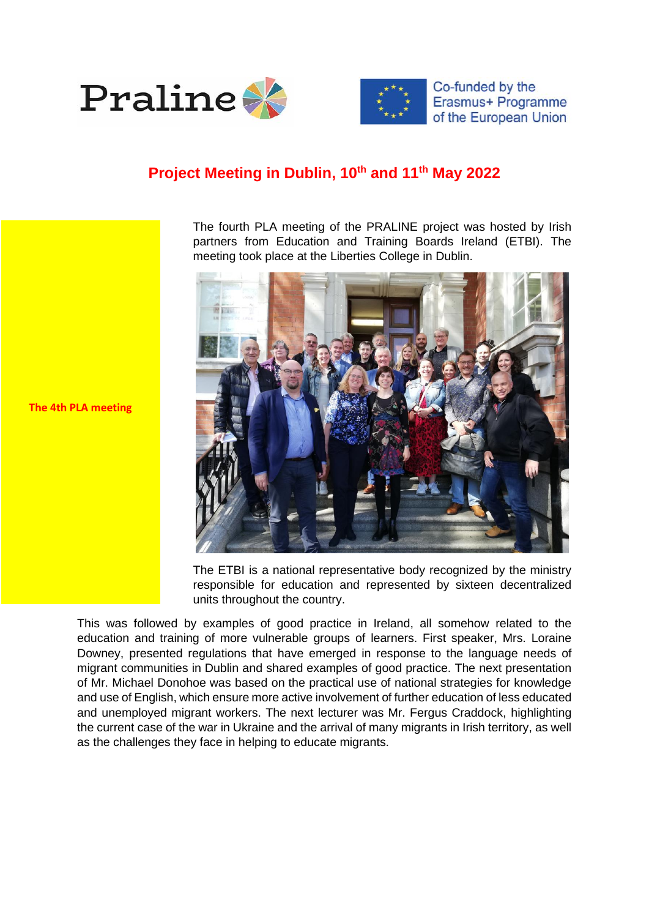



Co-funded by the Erasmus+ Programme of the European Union

## **Project Meeting in Dublin, 10th and 11th May 2022**

The fourth PLA meeting of the PRALINE project was hosted by Irish partners from Education and Training Boards Ireland (ETBI). The meeting took place at the Liberties College in Dublin.



The ETBI is a national representative body recognized by the ministry responsible for education and represented by sixteen decentralized units throughout the country.

This was followed by examples of good practice in Ireland, all somehow related to the education and training of more vulnerable groups of learners. First speaker, Mrs. Loraine Downey, presented regulations that have emerged in response to the language needs of migrant communities in Dublin and shared examples of good practice. The next presentation of Mr. Michael Donohoe was based on the practical use of national strategies for knowledge and use of English, which ensure more active involvement of further education of less educated and unemployed migrant workers. The next lecturer was Mr. Fergus Craddock, highlighting the current case of the war in Ukraine and the arrival of many migrants in Irish territory, as well as the challenges they face in helping to educate migrants.

**The 4th PLA meeting**